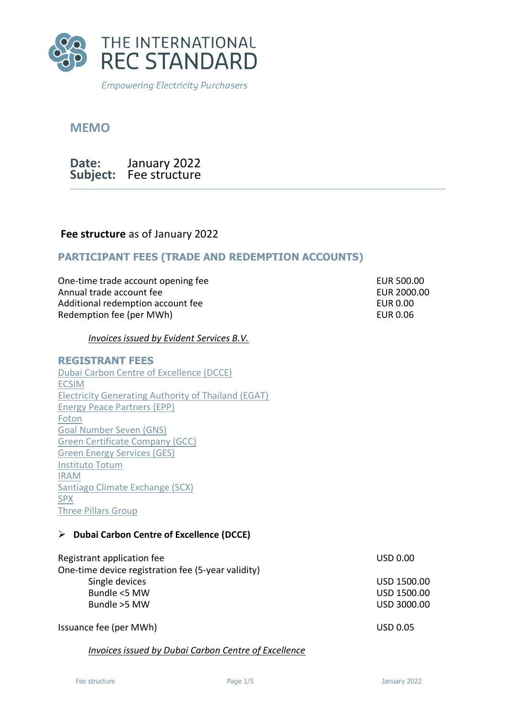

# **MEMO**

**Date: Subject:** Fee structure January 2022

### **Fee structure** as of January 2022

## **PARTICIPANT FEES (TRADE AND REDEMPTION ACCOUNTS)**

One-time trade account opening fee EUR 500.00 Annual trade account fee **EUR** 2000.00 Additional redemption account fee EUR 0.00 Redemption fee (per MWh) EUR 0.06

*Invoices issued by Evident Services B.V.*

#### **REGISTRANT FEES**

[Dubai Carbon Centre of Excellence \(DCCE\)](#page-0-0) [ECSIM](#page-1-0) [Electricity Generating Authority of Thailand \(EGAT\)](#page-1-1) [Energy Peace Partners \(EPP\)](#page-1-2) [Foton](#page-1-3) [Goal Number Seven \(GNS\)](#page-2-0) [Green Certificate Company \(GCC\)](#page-2-1) [Green Energy Services \(GES\)](#page-2-2) [Instituto Totum](#page-2-3) [IRAM](#page-3-0) [Santiago Climate Exchange \(SCX\)](#page-3-1) [SPX](#page-3-2) [Three Pillars Group](#page-3-3)

#### <span id="page-0-0"></span>➢ **Dubai Carbon Centre of Excellence (DCCE)**

| Registrant application fee                         | <b>USD 0.00</b> |
|----------------------------------------------------|-----------------|
| One-time device registration fee (5-year validity) |                 |
| Single devices                                     | USD 1500.00     |
| Bundle <5 MW                                       | USD 1500.00     |
| Bundle >5 MW                                       | USD 3000.00     |
| Issuance fee (per MWh)                             | <b>USD 0.05</b> |

*Invoices issued by Dubai Carbon Centre of Excellence*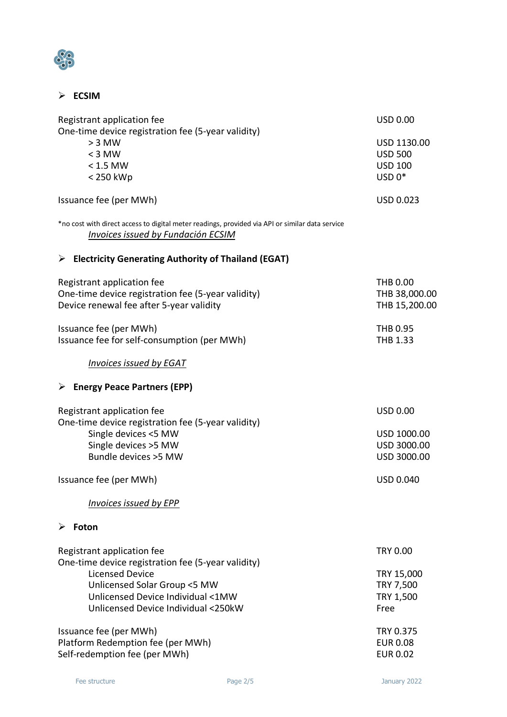

### <span id="page-1-0"></span>➢ **ECSIM**

<span id="page-1-3"></span><span id="page-1-2"></span><span id="page-1-1"></span>

| Registrant application fee<br>One-time device registration fee (5-year validity)                                                      | <b>USD 0.00</b>  |
|---------------------------------------------------------------------------------------------------------------------------------------|------------------|
| $> 3$ MW                                                                                                                              | USD 1130.00      |
| $<$ 3 MW                                                                                                                              | <b>USD 500</b>   |
| $< 1.5$ MW                                                                                                                            | <b>USD 100</b>   |
| < 250 kWp                                                                                                                             | $USD 0*$         |
| Issuance fee (per MWh)                                                                                                                | <b>USD 0.023</b> |
| *no cost with direct access to digital meter readings, provided via API or similar data service<br>Invoices issued by Fundación ECSIM |                  |
| $\triangleright$ Electricity Generating Authority of Thailand (EGAT)                                                                  |                  |
| Registrant application fee                                                                                                            | <b>THB 0.00</b>  |
| One-time device registration fee (5-year validity)                                                                                    | THB 38,000.00    |
| Device renewal fee after 5-year validity                                                                                              | THB 15,200.00    |
| Issuance fee (per MWh)                                                                                                                | <b>THB 0.95</b>  |
| Issuance fee for self-consumption (per MWh)                                                                                           | <b>THB 1.33</b>  |
| <b>Invoices issued by EGAT</b>                                                                                                        |                  |
| $\triangleright$ Energy Peace Partners (EPP)                                                                                          |                  |
| Registrant application fee                                                                                                            | <b>USD 0.00</b>  |
| One-time device registration fee (5-year validity)                                                                                    |                  |
| Single devices <5 MW                                                                                                                  | USD 1000.00      |
| Single devices >5 MW                                                                                                                  | USD 3000.00      |
| Bundle devices > 5 MW                                                                                                                 | USD 3000.00      |
| Issuance fee (per MWh)                                                                                                                | <b>USD 0.040</b> |
| Invoices issued by EPP                                                                                                                |                  |
| $\triangleright$ Foton                                                                                                                |                  |
| Registrant application fee                                                                                                            | <b>TRY 0.00</b>  |
| One-time device registration fee (5-year validity)                                                                                    |                  |
| <b>Licensed Device</b>                                                                                                                | TRY 15,000       |
| Unlicensed Solar Group <5 MW                                                                                                          | TRY 7,500        |
| Unlicensed Device Individual <1MW                                                                                                     | TRY 1,500        |
| Unlicensed Device Individual <250kW                                                                                                   | Free             |
| Issuance fee (per MWh)                                                                                                                | TRY 0.375        |
| Platform Redemption fee (per MWh)                                                                                                     | <b>EUR 0.08</b>  |
| Self-redemption fee (per MWh)                                                                                                         | <b>EUR 0.02</b>  |
|                                                                                                                                       |                  |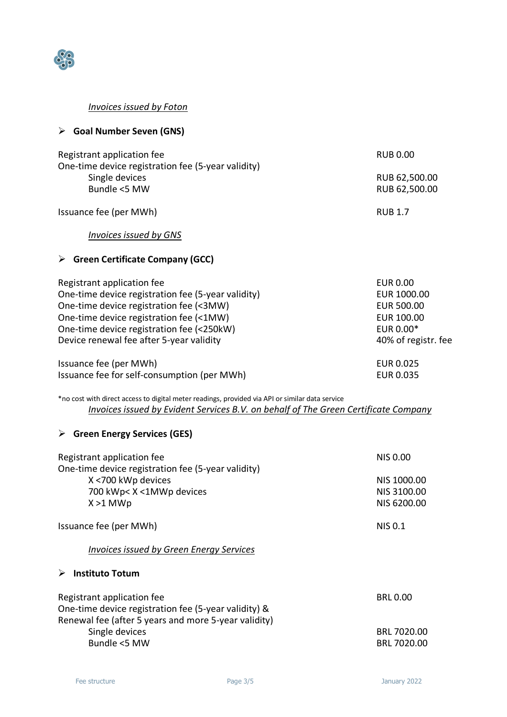

#### *Invoices issued by Foton*

## <span id="page-2-0"></span>➢ **Goal Number Seven (GNS)**

<span id="page-2-1"></span>

| Registrant application fee<br>One-time device registration fee (5-year validity)                                                                                                                                                                                | <b>RUB 0.00</b>                                                                                       |
|-----------------------------------------------------------------------------------------------------------------------------------------------------------------------------------------------------------------------------------------------------------------|-------------------------------------------------------------------------------------------------------|
| Single devices<br>Bundle <5 MW                                                                                                                                                                                                                                  | RUB 62,500.00<br>RUB 62,500.00                                                                        |
| Issuance fee (per MWh)                                                                                                                                                                                                                                          | <b>RUB 1.7</b>                                                                                        |
| Invoices issued by GNS                                                                                                                                                                                                                                          |                                                                                                       |
| <b>Green Certificate Company (GCC)</b><br>➤                                                                                                                                                                                                                     |                                                                                                       |
| Registrant application fee<br>One-time device registration fee (5-year validity)<br>One-time device registration fee (<3MW)<br>One-time device registration fee (<1MW)<br>One-time device registration fee (<250kW)<br>Device renewal fee after 5-year validity | <b>EUR 0.00</b><br>EUR 1000.00<br><b>EUR 500.00</b><br>EUR 100.00<br>EUR 0.00*<br>40% of registr. fee |
| Issuance fee (per MWh)<br>Issuance fee for self-consumption (per MWh)                                                                                                                                                                                           | <b>EUR 0.025</b><br>EUR 0.035                                                                         |

\*no cost with direct access to digital meter readings, provided via API or similar data service *Invoices issued by Evident Services B.V. on behalf of The Green Certificate Company*

#### <span id="page-2-2"></span>➢ **Green Energy Services (GES)**

<span id="page-2-3"></span>

| Registrant application fee<br>One-time device registration fee (5-year validity)                                                           | <b>NIS 0.00</b>            |
|--------------------------------------------------------------------------------------------------------------------------------------------|----------------------------|
| X <700 kWp devices<br>700 kWp< X <1MWp devices                                                                                             | NIS 1000.00<br>NIS 3100.00 |
| $X > 1$ MWp                                                                                                                                | NIS 6200.00                |
| Issuance fee (per MWh)                                                                                                                     | <b>NIS 0.1</b>             |
| <b>Invoices issued by Green Energy Services</b>                                                                                            |                            |
| <b>Instituto Totum</b>                                                                                                                     |                            |
| Registrant application fee<br>One-time device registration fee (5-year validity) &<br>Renewal fee (after 5 years and more 5-year validity) | <b>BRL 0.00</b>            |
| Single devices                                                                                                                             | BRL 7020.00                |
| Bundle <5 MW                                                                                                                               | BRL 7020.00                |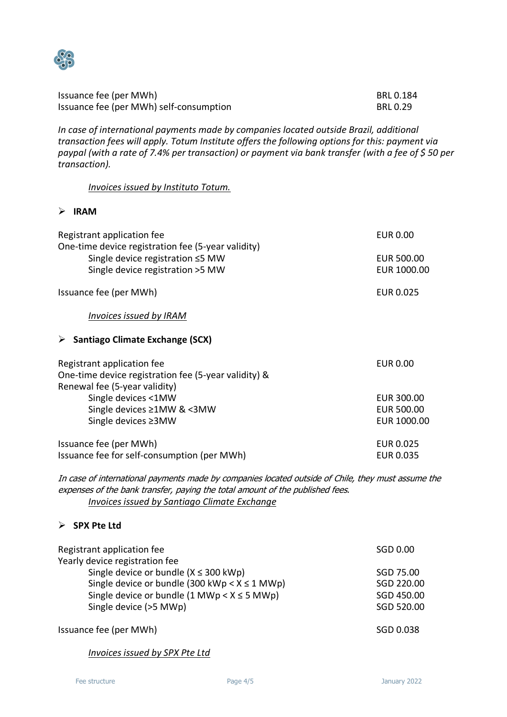

| Issuance fee (per MWh)                  | <b>BRL 0.184</b> |
|-----------------------------------------|------------------|
| Issuance fee (per MWh) self-consumption | <b>BRL 0.29</b>  |

*In case of international payments made by companies located outside Brazil, additional transaction fees will apply. Totum Institute offers the following options for this: payment via paypal (with a rate of 7.4% per transaction) or payment via bank transfer (with a fee of \$ 50 per transaction).*

*Invoices issued by Instituto Totum.* 

#### <span id="page-3-0"></span>➢ **IRAM**

<span id="page-3-1"></span>

| Registrant application fee                                                                                                                                                          | <b>EUR 0.00</b>                                       |
|-------------------------------------------------------------------------------------------------------------------------------------------------------------------------------------|-------------------------------------------------------|
| One-time device registration fee (5-year validity)<br>Single device registration $\leq$ 5 MW<br>Single device registration >5 MW                                                    | <b>EUR 500.00</b><br>EUR 1000.00                      |
| Issuance fee (per MWh)                                                                                                                                                              | <b>EUR 0.025</b>                                      |
| Invoices issued by IRAM                                                                                                                                                             |                                                       |
| $\triangleright$ Santiago Climate Exchange (SCX)                                                                                                                                    |                                                       |
| Registrant application fee<br>One-time device registration fee (5-year validity) &<br>Renewal fee (5-year validity)                                                                 | <b>EUR 0.00</b>                                       |
| Single devices <1MW<br>Single devices ≥1MW & <3MW<br>Single devices ≥3MW                                                                                                            | <b>EUR 300.00</b><br><b>EUR 500.00</b><br>EUR 1000.00 |
| Issuance fee (per MWh)<br>Issuance fee for self-consumption (per MWh)                                                                                                               | <b>EUR 0.025</b><br><b>EUR 0.035</b>                  |
| In case of international payments made by companies located outside of Chile, they must assume the<br>expenses of the bank transfer, paying the total amount of the published fees. |                                                       |

*Invoices issued by Santiago Climate Exchange*

#### <span id="page-3-2"></span>➢ **SPX Pte Ltd**

| Registrant application fee                                      | SGD 0.00   |
|-----------------------------------------------------------------|------------|
| Yearly device registration fee                                  |            |
| Single device or bundle $(X \leq 300 \text{ kWp})$              | SGD 75.00  |
| Single device or bundle (300 kWp $\lt$ X $\leq$ 1 MWp)          | SGD 220.00 |
| Single device or bundle $(1 \text{ MWp} < X \le 5 \text{ MWp})$ | SGD 450.00 |
| Single device (>5 MWp)                                          | SGD 520.00 |
| Issuance fee (per MWh)                                          | SGD 0.038  |

<span id="page-3-3"></span>*Invoices issued by SPX Pte Ltd*